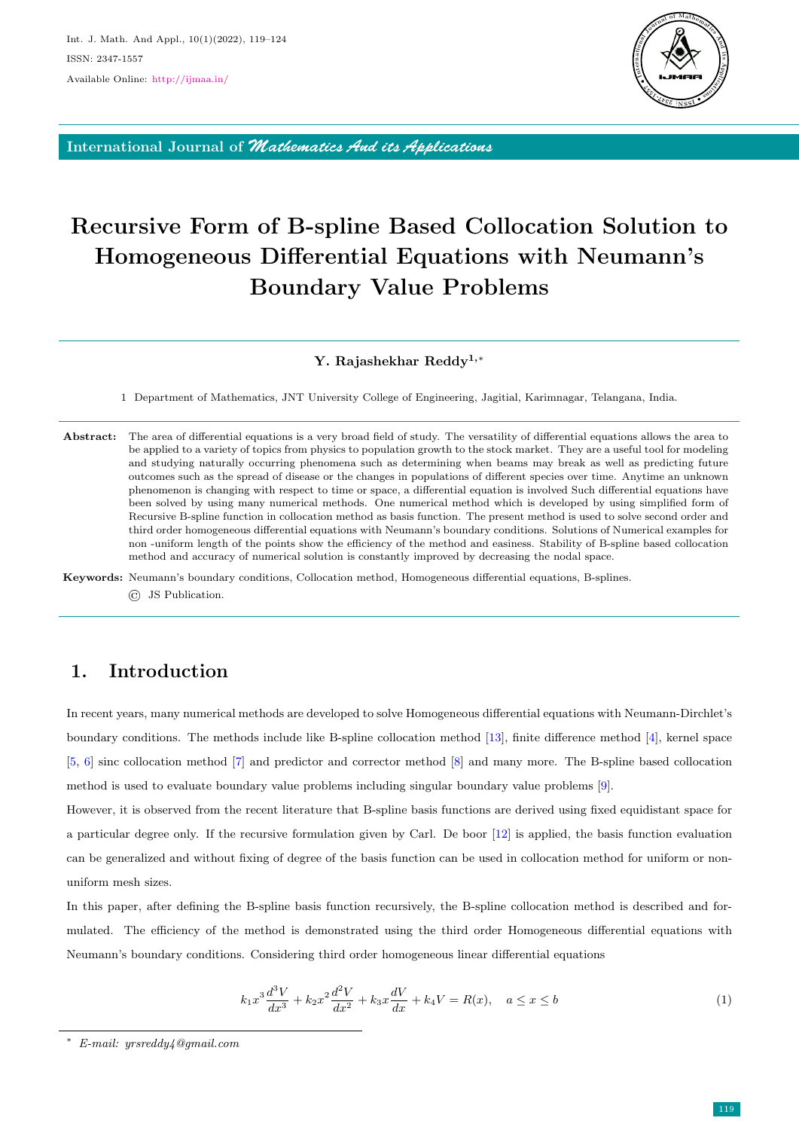

International Journal of *Mathematics And its Applications*

# Recursive Form of B-spline Based Collocation Solution to Homogeneous Differential Equations with Neumann's Boundary Value Problems

#### Y. Rajashekhar Reddy1,<sup>∗</sup>

1 Department of Mathematics, JNT University College of Engineering, Jagitial, Karimnagar, Telangana, India.

Abstract: The area of differential equations is a very broad field of study. The versatility of differential equations allows the area to be applied to a variety of topics from physics to population growth to the stock market. They are a useful tool for modeling and studying naturally occurring phenomena such as determining when beams may break as well as predicting future outcomes such as the spread of disease or the changes in populations of different species over time. Anytime an unknown phenomenon is changing with respect to time or space, a differential equation is involved Such differential equations have been solved by using many numerical methods. One numerical method which is developed by using simplified form of Recursive B-spline function in collocation method as basis function. The present method is used to solve second order and third order homogeneous differential equations with Neumann's boundary conditions. Solutions of Numerical examples for non -uniform length of the points show the efficiency of the method and easiness. Stability of B-spline based collocation method and accuracy of numerical solution is constantly improved by decreasing the nodal space.

Keywords: Neumann's boundary conditions, Collocation method, Homogeneous differential equations, B-splines. © JS Publication.

# 1. Introduction

In recent years, many numerical methods are developed to solve Homogeneous differential equations with Neumann-Dirchlet's boundary conditions. The methods include like B-spline collocation method [\[13\]](#page-5-0), finite difference method [\[4\]](#page-5-1), kernel space [\[5,](#page-5-2) [6\]](#page-5-3) sinc collocation method [\[7\]](#page-5-4) and predictor and corrector method [\[8\]](#page-5-5) and many more. The B-spline based collocation method is used to evaluate boundary value problems including singular boundary value problems [\[9\]](#page-5-6).

However, it is observed from the recent literature that B-spline basis functions are derived using fixed equidistant space for a particular degree only. If the recursive formulation given by Carl. De boor [\[12\]](#page-5-7) is applied, the basis function evaluation can be generalized and without fixing of degree of the basis function can be used in collocation method for uniform or nonuniform mesh sizes.

In this paper, after defining the B-spline basis function recursively, the B-spline collocation method is described and formulated. The efficiency of the method is demonstrated using the third order Homogeneous differential equations with Neumann's boundary conditions. Considering third order homogeneous linear differential equations

<span id="page-0-0"></span>
$$
k_1 x^3 \frac{d^3 V}{dx^3} + k_2 x^2 \frac{d^2 V}{dx^2} + k_3 x \frac{dV}{dx} + k_4 V = R(x), \quad a \le x \le b
$$
 (1)

<sup>∗</sup> E-mail: yrsreddy4@gmail.com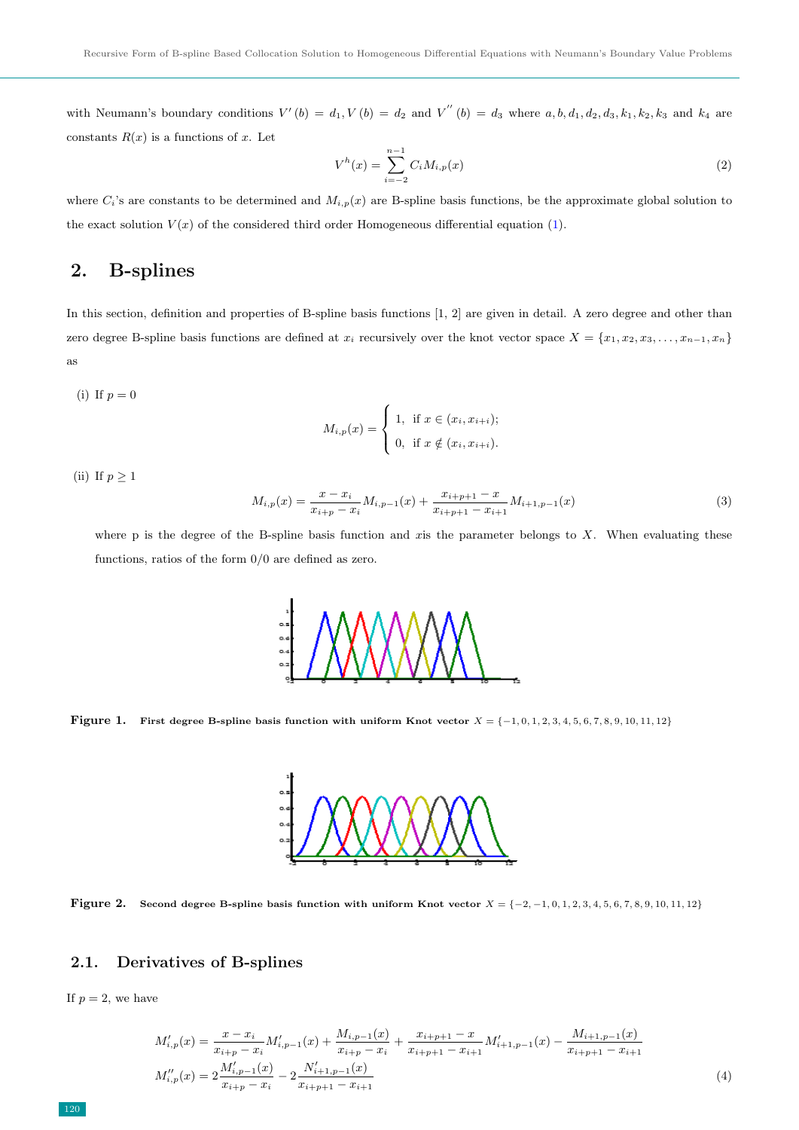with Neumann's boundary conditions  $V'(b) = d_1, V(b) = d_2$  and  $V''(b) = d_3$  where  $a, b, d_1, d_2, d_3, k_1, k_2, k_3$  and  $k_4$  are constants  $R(x)$  is a functions of x. Let

<span id="page-1-2"></span>
$$
V^{h}(x) = \sum_{i=-2}^{n-1} C_{i} M_{i,p}(x)
$$
\n(2)

where  $C_i$ 's are constants to be determined and  $M_{i,p}(x)$  are B-spline basis functions, be the approximate global solution to the exact solution  $V(x)$  of the considered third order Homogeneous differential equation [\(1\)](#page-0-0).

## 2. B-splines

In this section, definition and properties of B-spline basis functions [1, 2] are given in detail. A zero degree and other than zero degree B-spline basis functions are defined at  $x_i$  recursively over the knot vector space  $X = \{x_1, x_2, x_3, \ldots, x_{n-1}, x_n\}$ as

$$
M_{i,p}(x) = \begin{cases} 1, & \text{if } x \in (x_i, x_{i+i}); \\ 0, & \text{if } x \notin (x_i, x_{i+i}). \end{cases}
$$

(ii) If  $p \geq 1$ 

(i) If  $p = 0$ 

$$
M_{i,p}(x) = \frac{x - x_i}{x_{i+p} - x_i} M_{i,p-1}(x) + \frac{x_{i+p+1} - x}{x_{i+p+1} - x_{i+1}} M_{i+1,p-1}(x)
$$
\n(3)

where p is the degree of the B-spline basis function and xis the parameter belongs to  $X$ . When evaluating these functions, ratios of the form 0/0 are defined as zero.



<span id="page-1-0"></span>Figure 1. First degree B-spline basis function with uniform Knot vector  $X = \{-1, 0, 1, 2, 3, 4, 5, 6, 7, 8, 9, 10, 11, 12\}$ 



<span id="page-1-1"></span>Figure 2. Second degree B-spline basis function with uniform Knot vector  $X = \{-2, -1, 0, 1, 2, 3, 4, 5, 6, 7, 8, 9, 10, 11, 12\}$ 

## 2.1. Derivatives of B-splines

If  $p = 2$ , we have

$$
M'_{i,p}(x) = \frac{x - x_i}{x_{i+p} - x_i} M'_{i,p-1}(x) + \frac{M_{i,p-1}(x)}{x_{i+p} - x_i} + \frac{x_{i+p+1} - x}{x_{i+p+1} - x_{i+1}} M'_{i+1,p-1}(x) - \frac{M_{i+1,p-1}(x)}{x_{i+p+1} - x_{i+1}}
$$
  
\n
$$
M''_{i,p}(x) = 2 \frac{M'_{i,p-1}(x)}{x_{i+p} - x_i} - 2 \frac{N'_{i+1,p-1}(x)}{x_{i+p+1} - x_{i+1}}
$$
\n(4)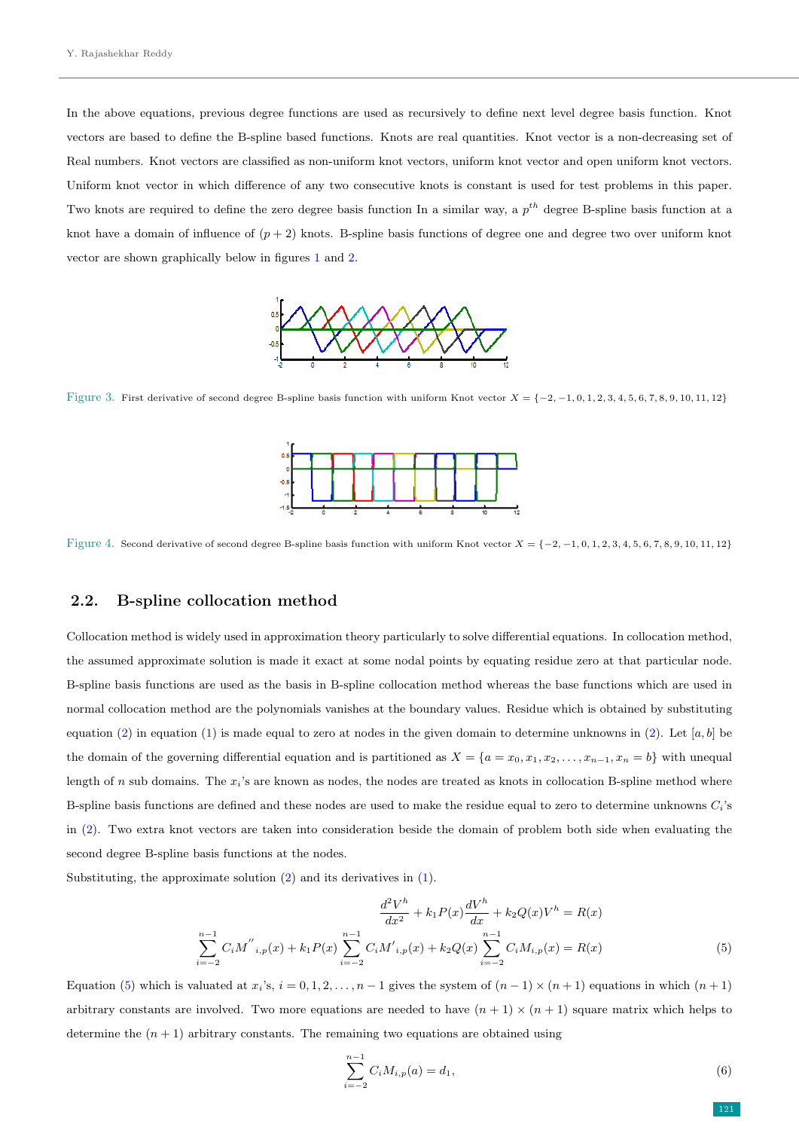In the above equations, previous degree functions are used as recursively to define next level degree basis function. Knot vectors are based to define the B-spline based functions. Knots are real quantities. Knot vector is a non-decreasing set of Real numbers. Knot vectors are classified as non-uniform knot vectors, uniform knot vector and open uniform knot vectors. Uniform knot vector in which difference of any two consecutive knots is constant is used for test problems in this paper. Two knots are required to define the zero degree basis function In a similar way, a  $p^{th}$  degree B-spline basis function at a knot have a domain of influence of  $(p+2)$  knots. B-spline basis functions of degree one and degree two over uniform knot vector are shown graphically below in figures [1](#page-1-0) and [2.](#page-1-1)



Figure 3. First derivative of second degree B-spline basis function with uniform Knot vector  $X = \{-2, -1, 0, 1, 2, 3, 4, 5, 6, 7, 8, 9, 10, 11, 12\}$ 



Figure 4. Second derivative of second degree B-spline basis function with uniform Knot vector  $X = \{-2, -1, 0, 1, 2, 3, 4, 5, 6, 7, 8, 9, 10, 11, 12\}$ 

### 2.2. B-spline collocation method

Collocation method is widely used in approximation theory particularly to solve differential equations. In collocation method, the assumed approximate solution is made it exact at some nodal points by equating residue zero at that particular node. B-spline basis functions are used as the basis in B-spline collocation method whereas the base functions which are used in normal collocation method are the polynomials vanishes at the boundary values. Residue which is obtained by substituting equation [\(2\)](#page-1-2) in equation [\(1\)](#page-0-0) is made equal to zero at nodes in the given domain to determine unknowns in (2). Let  $[a, b]$  be the domain of the governing differential equation and is partitioned as  $X = \{a = x_0, x_1, x_2, \ldots, x_{n-1}, x_n = b\}$  with unequal length of  $n$  sub domains. The  $x_i$ 's are known as nodes, the nodes are treated as knots in collocation B-spline method where B-spline basis functions are defined and these nodes are used to make the residue equal to zero to determine unknowns  $C_i$ 's in [\(2\)](#page-1-2). Two extra knot vectors are taken into consideration beside the domain of problem both side when evaluating the second degree B-spline basis functions at the nodes.

Substituting, the approximate solution [\(2\)](#page-1-2) and its derivatives in [\(1\)](#page-0-0).

$$
\frac{d^2V^h}{dx^2} + k_1P(x)\frac{dV^h}{dx} + k_2Q(x)V^h = R(x)
$$

$$
\sum_{i=-2}^{n-1} C_iM^{''}_{i,p}(x) + k_1P(x)\sum_{i=-2}^{n-1} C_iM^{'}_{i,p}(x) + k_2Q(x)\sum_{i=-2}^{n-1} C_iM_{i,p}(x) = R(x)
$$
(5)

Equation [\(5\)](#page-2-0) which is valuated at  $x_i$ 's,  $i = 0, 1, 2, \ldots, n - 1$  gives the system of  $(n - 1) \times (n + 1)$  equations in which  $(n + 1)$ arbitrary constants are involved. Two more equations are needed to have  $(n + 1) \times (n + 1)$  square matrix which helps to determine the  $(n + 1)$  arbitrary constants. The remaining two equations are obtained using

$$
\sum_{i=-2}^{n-1} C_i M_{i,p}(a) = d_1,
$$
\n(6)

<span id="page-2-1"></span><span id="page-2-0"></span>121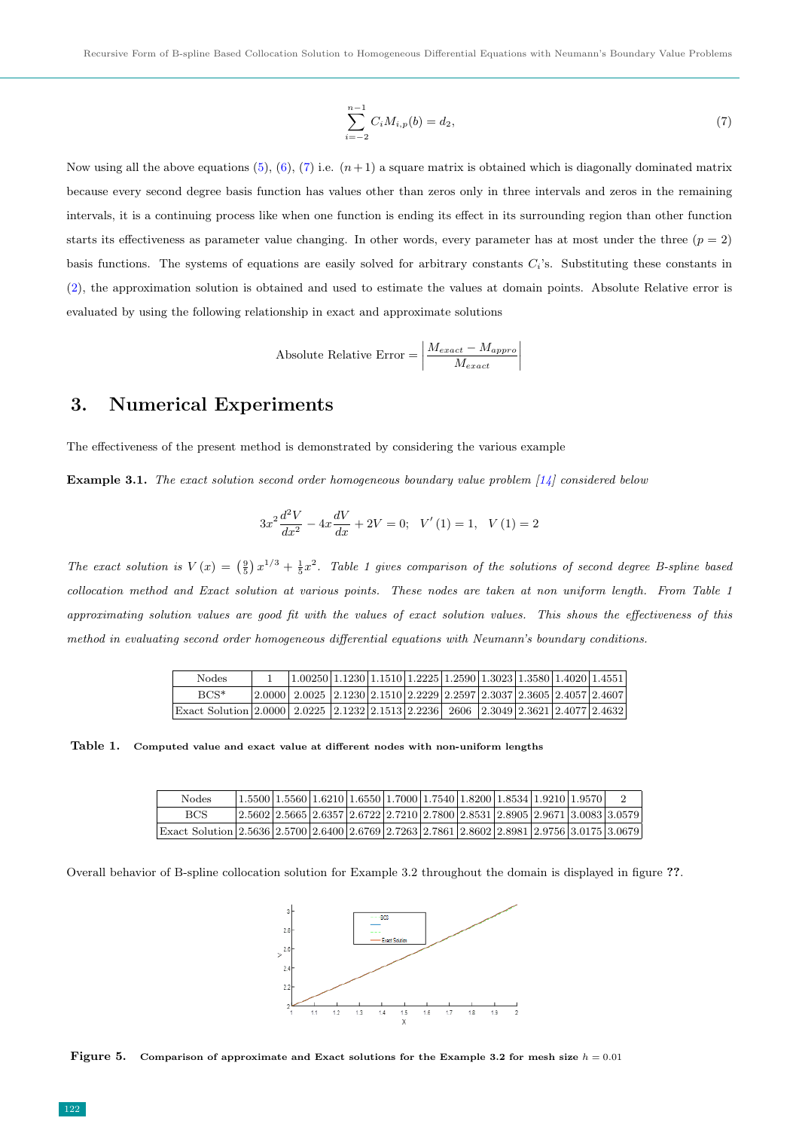<span id="page-3-0"></span>
$$
\sum_{i=-2}^{n-1} C_i M_{i,p}(b) = d_2,
$$
\n(7)

Now using all the above equations  $(5)$ ,  $(6)$ ,  $(7)$  i.e.  $(n+1)$  a square matrix is obtained which is diagonally dominated matrix because every second degree basis function has values other than zeros only in three intervals and zeros in the remaining intervals, it is a continuing process like when one function is ending its effect in its surrounding region than other function starts its effectiveness as parameter value changing. In other words, every parameter has at most under the three  $(p = 2)$ basis functions. The systems of equations are easily solved for arbitrary constants  $C_i$ 's. Substituting these constants in [\(2\)](#page-1-2), the approximation solution is obtained and used to estimate the values at domain points. Absolute Relative error is evaluated by using the following relationship in exact and approximate solutions

Absolute Relative Error = 
$$
\left| \frac{M_{exact} - M_{approx}}{M_{exact}} \right|
$$

## 3. Numerical Experiments

The effectiveness of the present method is demonstrated by considering the various example

**Example 3.1.** The exact solution second order homogeneous boundary value problem  $[14]$  considered below

$$
3x^{2}\frac{d^{2}V}{dx^{2}} - 4x\frac{dV}{dx} + 2V = 0; \quad V'(1) = 1, \quad V(1) = 2
$$

The exact solution is  $V(x) = \left(\frac{9}{5}\right)x^{1/3} + \frac{1}{5}x^2$ . Table 1 gives comparison of the solutions of second degree B-spline based collocation method and Exact solution at various points. These nodes are taken at non uniform length. From Table 1 approximating solution values are good fit with the values of exact solution values. This shows the effectiveness of this method in evaluating second order homogeneous differential equations with Neumann's boundary conditions.

| Nodes                                                                                                | $1.00250 1.1230 1.1510 1.2225 1.2590 1.3023 1.3580 1.4020 1.4551 $                                                                        |  |  |  |  |
|------------------------------------------------------------------------------------------------------|-------------------------------------------------------------------------------------------------------------------------------------------|--|--|--|--|
| $BCS^*$                                                                                              | $\vert 2.0000 \vert 2.0025 \vert 2.1230 \vert 2.1510 \vert 2.2229 \vert 2.2597 \vert 2.3037 \vert 2.3605 \vert 2.4057 \vert 2.4607 \vert$ |  |  |  |  |
| Exact Solution 2.0000   2.0225   2.1232   2.1513   2.2236   2606   2.3049   2.3621   2.4077   2.4632 |                                                                                                                                           |  |  |  |  |

Table 1. Computed value and exact value at different nodes with non-uniform lengths

| Nodes                                                                                       | $(1.5500 1.5560 1.6210 1.6550 1.7000 1.7540 1.8200 1.8534 1.9210 1.9570 $ |  |  |  |  |                                                                                                                                                    |
|---------------------------------------------------------------------------------------------|---------------------------------------------------------------------------|--|--|--|--|----------------------------------------------------------------------------------------------------------------------------------------------------|
| <b>BCS</b>                                                                                  |                                                                           |  |  |  |  | $\left[2.5602\right]2.5665\left[2.6357\right]2.6722\left[2.7210\right]2.7800\left[2.8531\right]2.8905\left[2.9671\right]3.0083\left[3.0579\right]$ |
| Exact Solution 2.5636 2.5700 2.6400 2.6769 2.7263 2.7861 2.8602 2.8981 2.9756 3.0175 3.0679 |                                                                           |  |  |  |  |                                                                                                                                                    |

Overall behavior of B-spline collocation solution for Example 3.2 throughout the domain is displayed in figure ??.



Figure 5. Comparison of approximate and Exact solutions for the Example 3.2 for mesh size  $h = 0.01$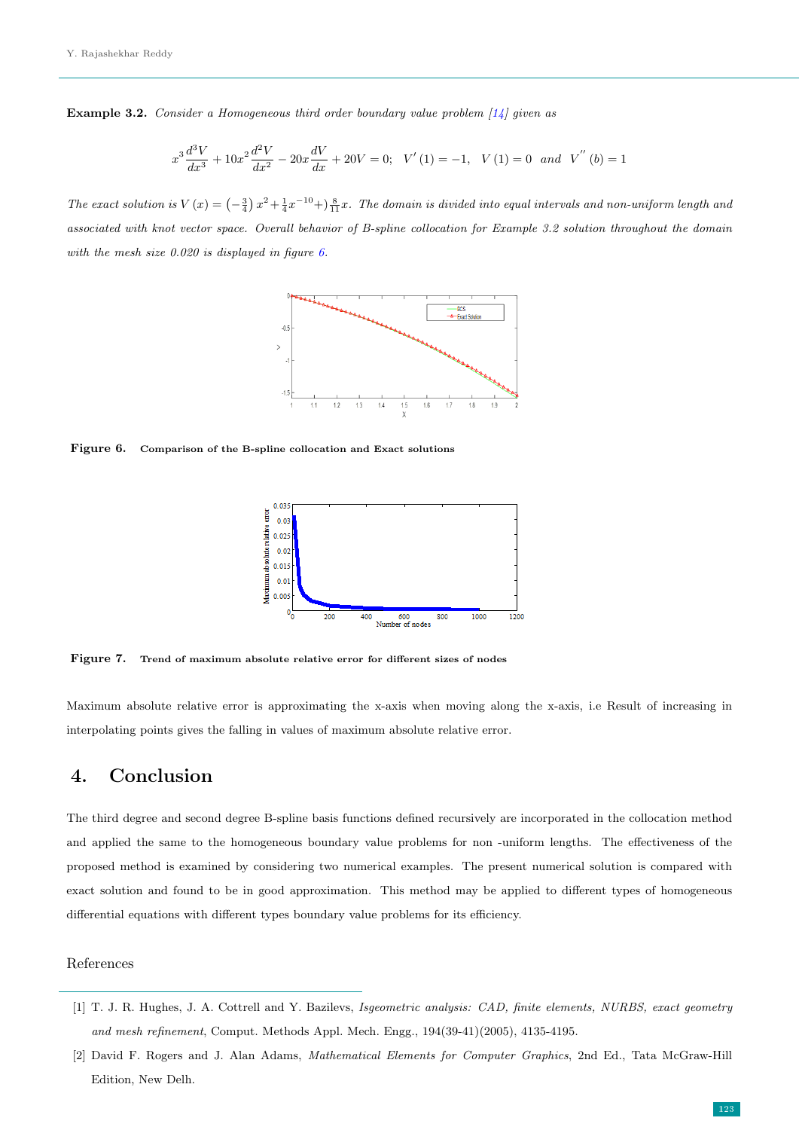**Example 3.2.** Consider a Homogeneous third order boundary value problem  $\begin{bmatrix} 14 \end{bmatrix}$  given as

$$
x^{3} \frac{d^{3}V}{dx^{3}} + 10x^{2} \frac{d^{2}V}{dx^{2}} - 20x \frac{dV}{dx} + 20V = 0; \quad V'(1) = -1, \quad V(1) = 0 \quad and \quad V^{''}(b) = 1
$$

The exact solution is  $V(x) = \left(-\frac{3}{4}\right)x^2 + \frac{1}{4}x^{-10} + \left(-\frac{8}{11}x\right)x^2$ . The domain is divided into equal intervals and non-uniform length and associated with knot vector space. Overall behavior of B-spline collocation for Example 3.2 solution throughout the domain with the mesh size 0.020 is displayed in figure [6.](#page-4-0)



<span id="page-4-0"></span>Figure 6. Comparison of the B-spline collocation and Exact solutions



Figure 7. Trend of maximum absolute relative error for different sizes of nodes

Maximum absolute relative error is approximating the x-axis when moving along the x-axis, i.e Result of increasing in interpolating points gives the falling in values of maximum absolute relative error.

# 4. Conclusion

The third degree and second degree B-spline basis functions defined recursively are incorporated in the collocation method and applied the same to the homogeneous boundary value problems for non -uniform lengths. The effectiveness of the proposed method is examined by considering two numerical examples. The present numerical solution is compared with exact solution and found to be in good approximation. This method may be applied to different types of homogeneous differential equations with different types boundary value problems for its efficiency.

### References

- [1] T. J. R. Hughes, J. A. Cottrell and Y. Bazilevs, Isgeometric analysis: CAD, finite elements, NURBS, exact geometry and mesh refinement, Comput. Methods Appl. Mech. Engg., 194(39-41)(2005), 4135-4195.
- [2] David F. Rogers and J. Alan Adams, Mathematical Elements for Computer Graphics, 2nd Ed., Tata McGraw-Hill Edition, New Delh.